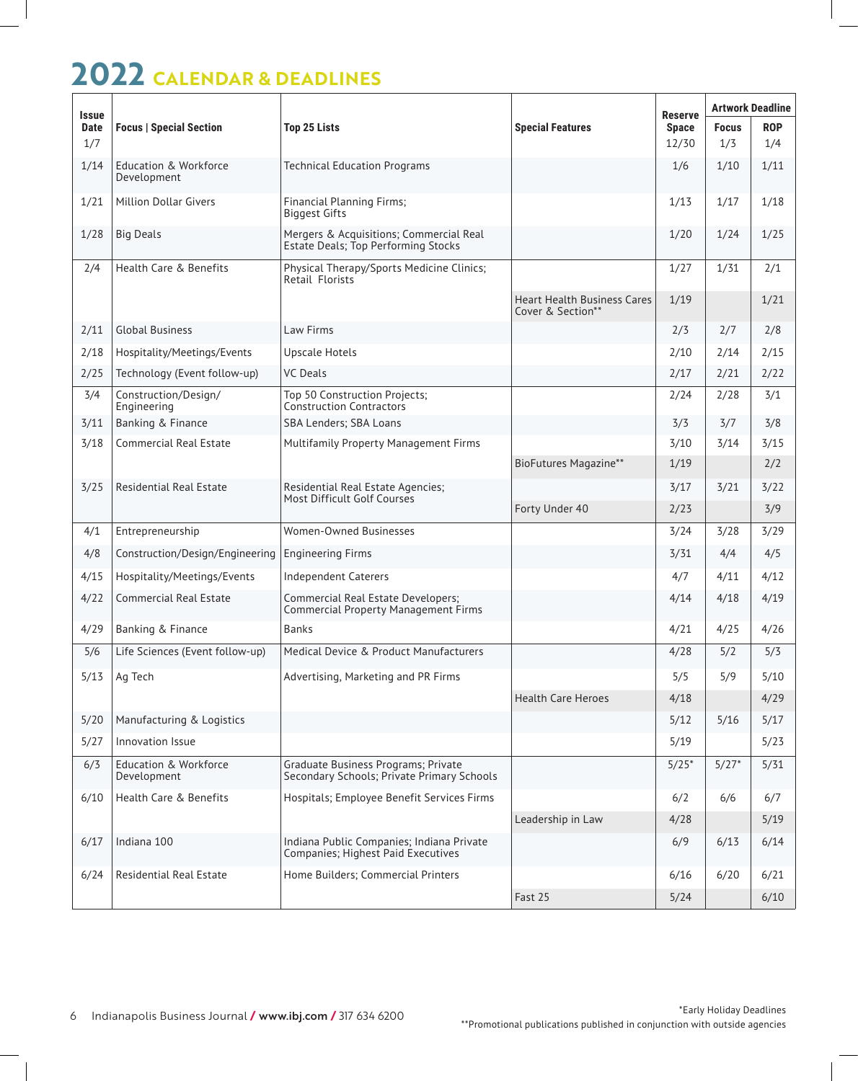## **2022 CALENDAR & DEADLINES**

| <b>Issue</b><br><b>Date</b> | <b>Focus   Special Section</b>                  | <b>Top 25 Lists</b>                                                                   | <b>Special Features</b>                                 | <b>Reserve</b><br><b>Space</b> | <b>Artwork Deadline</b> |            |
|-----------------------------|-------------------------------------------------|---------------------------------------------------------------------------------------|---------------------------------------------------------|--------------------------------|-------------------------|------------|
|                             |                                                 |                                                                                       |                                                         |                                | <b>Focus</b>            | <b>ROP</b> |
| 1/7                         |                                                 |                                                                                       |                                                         | 12/30                          | 1/3                     | 1/4        |
| 1/14                        | <b>Education &amp; Workforce</b><br>Development | <b>Technical Education Programs</b>                                                   |                                                         | 1/6                            | 1/10                    | 1/11       |
| 1/21                        | <b>Million Dollar Givers</b>                    | <b>Financial Planning Firms;</b><br><b>Biggest Gifts</b>                              |                                                         | 1/13                           | 1/17                    | 1/18       |
| 1/28                        | <b>Big Deals</b>                                | Mergers & Acquisitions; Commercial Real<br><b>Estate Deals; Top Performing Stocks</b> |                                                         | 1/20                           | 1/24                    | 1/25       |
| 2/4                         | Health Care & Benefits                          | Physical Therapy/Sports Medicine Clinics;<br>Retail Florists                          |                                                         | 1/27                           | 1/31                    | 2/1        |
|                             |                                                 |                                                                                       | <b>Heart Health Business Cares</b><br>Cover & Section** | 1/19                           |                         | 1/21       |
| 2/11                        | <b>Global Business</b>                          | Law Firms                                                                             |                                                         | 2/3                            | 2/7                     | 2/8        |
| 2/18                        | Hospitality/Meetings/Events                     | <b>Upscale Hotels</b>                                                                 |                                                         | 2/10                           | 2/14                    | 2/15       |
| 2/25                        | Technology (Event follow-up)                    | <b>VC Deals</b>                                                                       |                                                         | 2/17                           | 2/21                    | 2/22       |
| 3/4                         | Construction/Design/<br>Engineering             | Top 50 Construction Projects;<br><b>Construction Contractors</b>                      |                                                         | 2/24                           | 2/28                    | 3/1        |
| 3/11                        | Banking & Finance                               | SBA Lenders; SBA Loans                                                                |                                                         | 3/3                            | 3/7                     | 3/8        |
| 3/18                        | <b>Commercial Real Estate</b>                   | <b>Multifamily Property Management Firms</b>                                          |                                                         | 3/10                           | 3/14                    | 3/15       |
|                             |                                                 |                                                                                       | <b>BioFutures Magazine**</b>                            | 1/19                           |                         | 2/2        |
| 3/25                        | <b>Residential Real Estate</b>                  | Residential Real Estate Agencies;<br>Most Difficult Golf Courses                      |                                                         | 3/17                           | 3/21                    | 3/22       |
|                             |                                                 |                                                                                       | Forty Under 40                                          | 2/23                           |                         | 3/9        |
| 4/1                         | Entrepreneurship                                | <b>Women-Owned Businesses</b>                                                         |                                                         | 3/24                           | 3/28                    | 3/29       |
| 4/8                         | Construction/Design/Engineering                 | <b>Engineering Firms</b>                                                              |                                                         | 3/31                           | 4/4                     | 4/5        |
| 4/15                        | Hospitality/Meetings/Events                     | <b>Independent Caterers</b>                                                           |                                                         | 4/7                            | 4/11                    | 4/12       |
| 4/22                        | <b>Commercial Real Estate</b>                   | Commercial Real Estate Developers;<br><b>Commercial Property Management Firms</b>     |                                                         | 4/14                           | 4/18                    | 4/19       |
| 4/29                        | Banking & Finance                               | <b>Banks</b>                                                                          |                                                         | 4/21                           | 4/25                    | 4/26       |
| 5/6                         | Life Sciences (Event follow-up)                 | Medical Device & Product Manufacturers                                                |                                                         | 4/28                           | 5/2                     | 5/3        |
| 5/13                        | Ag Tech                                         | Advertising, Marketing and PR Firms                                                   |                                                         | 5/5                            | 5/9                     | 5/10       |
|                             |                                                 |                                                                                       | <b>Health Care Heroes</b>                               | 4/18                           |                         | 4/29       |
| 5/20                        | Manufacturing & Logistics                       |                                                                                       |                                                         | 5/12                           | 5/16                    | 5/17       |
| 5/27                        | Innovation Issue                                |                                                                                       |                                                         | 5/19                           |                         | 5/23       |
| 6/3                         | Education & Workforce<br>Development            | Graduate Business Programs; Private<br>Secondary Schools; Private Primary Schools     |                                                         | $5/25*$                        | $5/27*$                 | 5/31       |
| 6/10                        | Health Care & Benefits                          | Hospitals; Employee Benefit Services Firms                                            |                                                         | 6/2                            | 6/6                     | 6/7        |
|                             |                                                 |                                                                                       | Leadership in Law                                       | 4/28                           |                         | 5/19       |
| 6/17                        | Indiana 100                                     | Indiana Public Companies; Indiana Private<br>Companies; Highest Paid Executives       |                                                         | 6/9                            | 6/13                    | 6/14       |
| 6/24                        | <b>Residential Real Estate</b>                  | Home Builders; Commercial Printers                                                    |                                                         | 6/16                           | 6/20                    | 6/21       |
|                             |                                                 |                                                                                       | Fast 25                                                 | 5/24                           |                         | 6/10       |